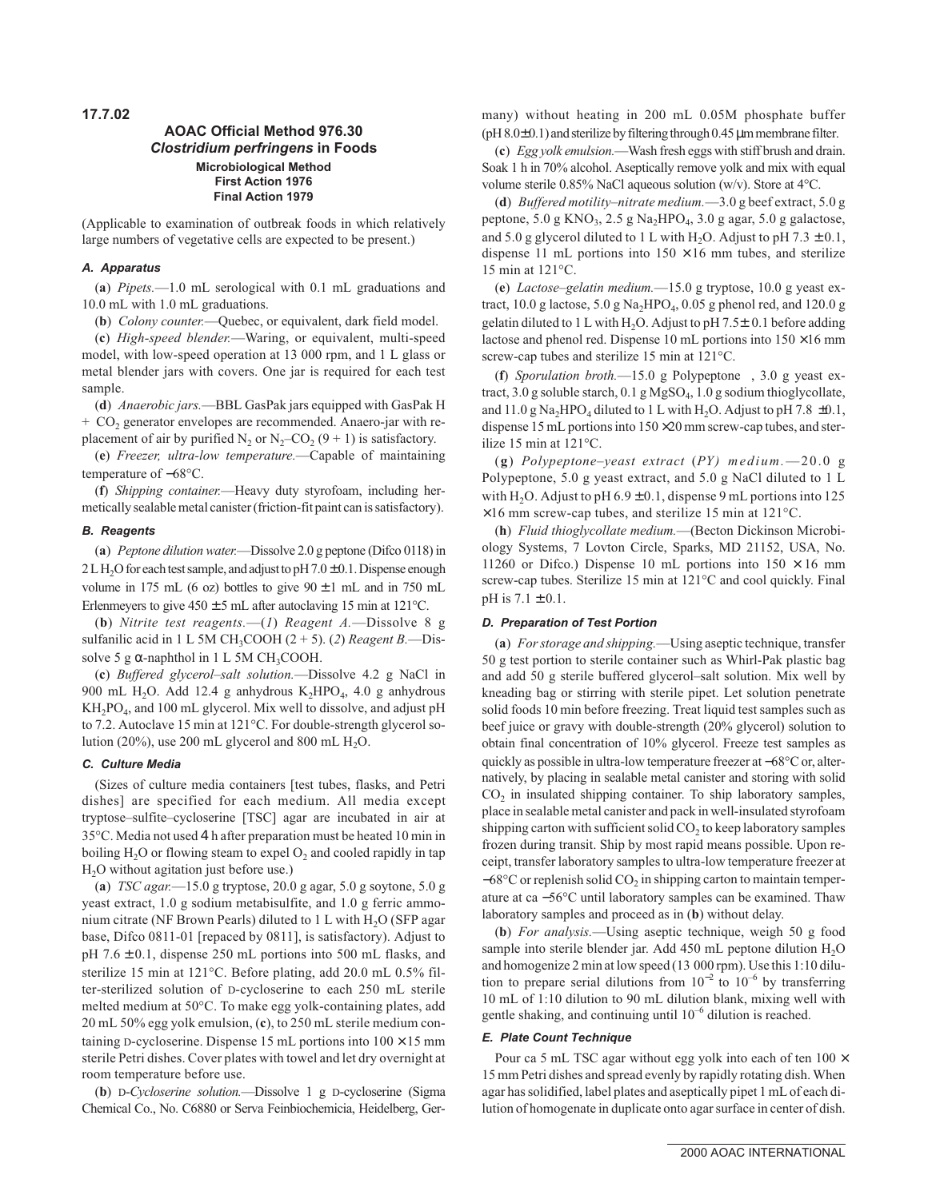**17.7.02**

# **AOAC Official Method 976.30 Clostridium perfringens in Foods Microbiological Method First Action 1976 Final Action 1979**

(Applicable to examination of outbreak foods in which relatively large numbers of vegetative cells are expected to be present.)

#### **A. Apparatus**

(**a**) *Pipets.*—1.0 mL serological with 0.1 mL graduations and 10.0 mL with 1.0 mL graduations.

(**b**) *Colony counter.*—Quebec, or equivalent, dark field model.

(**c**) *High-speed blender.*—Waring, or equivalent, multi-speed model, with low-speed operation at 13 000 rpm, and 1 L glass or metal blender jars with covers. One jar is required for each test sample.

(**d**) *Anaerobic jars.*—BBL GasPak jars equipped with GasPak H  $+$  CO<sub>2</sub> generator envelopes are recommended. Anaero-jar with replacement of air by purified N<sub>2</sub> or N<sub>2</sub>–CO<sub>2</sub> (9 + 1) is satisfactory.

(**e**) *Freezer, ultra-low temperature.*—Capable of maintaining temperature of −68°C.

(**f**) *Shipping container.*—Heavy duty styrofoam, including hermetically sealable metal canister (friction-fit paint can is satisfactory).

#### **B. Reagents**

(**a**) *Peptone dilution water.*—Dissolve 2.0 g peptone (Difco 0118) in  $2LH<sub>2</sub>O$  for each test sample, and adjust to pH  $7.0\pm0.1$ . Dispense enough volume in 175 mL (6 oz) bottles to give  $90 \pm 1$  mL and in 750 mL Erlenmeyers to give  $450 \pm 5$  mL after autoclaving 15 min at 121 °C.

(**b**) *Nitrite test reagents.*—(*1*) *Reagent A.*—Dissolve 8 g sulfanilic acid in 1 L 5M CH<sub>3</sub>COOH  $(2 + 5)$ . (2) *Reagent B*.—Dissolve 5 g  $\alpha$ -naphthol in 1 L 5M CH<sub>3</sub>COOH.

(**c**) *Buffered glycerol–salt solution.*—Dissolve 4.2 g NaCl in 900 mL H<sub>2</sub>O. Add 12.4 g anhydrous K<sub>2</sub>HPO<sub>4</sub>, 4.0 g anhydrous KH2PO4, and 100 mL glycerol. Mix well to dissolve, and adjust pH to 7.2. Autoclave 15 min at 121°C. For double-strength glycerol solution (20%), use 200 mL glycerol and 800 mL  $H_2O$ .

### **C. Culture Media**

(Sizes of culture media containers [test tubes, flasks, and Petri dishes] are specified for each medium. All media except tryptose–sulfite–cycloserine [TSC] agar are incubated in air at 35°C. Media not used 4 h after preparation must be heated 10 min in boiling  $H_2O$  or flowing steam to expel  $O_2$  and cooled rapidly in tap H<sub>2</sub>O without agitation just before use.)

(**a**) *TSC agar.*—15.0 g tryptose, 20.0 g agar, 5.0 g soytone, 5.0 g yeast extract, 1.0 g sodium metabisulfite, and 1.0 g ferric ammonium citrate (NF Brown Pearls) diluted to  $1 L$  with  $H<sub>2</sub>O$  (SFP agar base, Difco 0811-01 [repaced by 0811], is satisfactory). Adjust to pH  $7.6 \pm 0.1$ , dispense 250 mL portions into 500 mL flasks, and sterilize 15 min at 121°C. Before plating, add 20.0 mL 0.5% filter-sterilized solution of D-cycloserine to each 250 mL sterile melted medium at 50°C. To make egg yolk-containing plates, add 20 mL 50% egg yolk emulsion, (**c**), to 250 mL sterile medium containing D-cycloserine. Dispense 15 mL portions into  $100 \times 15$  mm sterile Petri dishes. Cover plates with towel and let dry overnight at room temperature before use.

(**b**) D-*Cycloserine solution.*—Dissolve 1 g D-cycloserine (Sigma Chemical Co., No. C6880 or Serva Feinbiochemicia, Heidelberg, Germany) without heating in 200 mL 0.05M phosphate buffer  $(pH 8.0 \pm 0.1)$  and sterilize by filtering through 0.45 µm membrane filter.

(**c**) *Egg yolk emulsion.*—Wash fresh eggs with stiff brush and drain. Soak 1 h in 70% alcohol. Aseptically remove yolk and mix with equal volume sterile 0.85% NaCl aqueous solution (w/v). Store at 4°C.

(**d**) *Buffered motility–nitrate medium.*—3.0 g beef extract, 5.0 g peptone,  $5.0 \text{ g KNO}_3$ ,  $2.5 \text{ g Na}_2$ HPO<sub>4</sub>,  $3.0 \text{ g agar}$ ,  $5.0 \text{ g galactose}$ , and 5.0 g glycerol diluted to 1 L with H<sub>2</sub>O. Adjust to pH  $7.3 \pm 0.1$ , dispense 11 mL portions into  $150 \times 16$  mm tubes, and sterilize 15 min at 121°C.

(**e**) *Lactose–gelatin medium.*—15.0 g tryptose, 10.0 g yeast extract, 10.0 g lactose, 5.0 g Na<sub>2</sub>HPO<sub>4</sub>, 0.05 g phenol red, and 120.0 g gelatin diluted to 1 L with H<sub>2</sub>O. Adjust to pH 7.5 $\pm$  0.1 before adding lactose and phenol red. Dispense 10 mL portions into  $150 \times 16$  mm screw-cap tubes and sterilize 15 min at 121°C.

(**f**) *Sporulation broth*.—15.0 g Polypeptone™, 3.0 g yeast extract, 3.0 g soluble starch, 0.1 g MgSO<sub>4</sub>, 1.0 g sodium thioglycollate, and 11.0 g Na<sub>2</sub>HPO<sub>4</sub> diluted to 1 L with H<sub>2</sub>O. Adjust to pH 7.8  $\pm$ 0.1, dispense 15 mL portions into  $150 \times 20$  mm screw-cap tubes, and sterilize 15 min at 121°C.

(**g**) *Polypeptone–yeast extract* (*PY) medium.*—20.0 g Polypeptone, 5.0 g yeast extract, and 5.0 g NaCl diluted to 1 L with H<sub>2</sub>O. Adjust to pH  $6.9 \pm 0.1$ , dispense 9 mL portions into 125  $\times$ 16 mm screw-cap tubes, and sterilize 15 min at 121 $^{\circ}$ C.

(**h**) *Fluid thioglycollate medium.*—(Becton Dickinson Microbiology Systems, 7 Lovton Circle, Sparks, MD 21152, USA, No. 11260 or Difco.) Dispense 10 mL portions into  $150 \times 16$  mm screw-cap tubes. Sterilize 15 min at 121°C and cool quickly. Final  $pH$  is  $7.1 \pm 0.1$ .

## **D. Preparation of Test Portion**

(**a**) *For storage and shipping.*—Using aseptic technique, transfer 50 g test portion to sterile container such as Whirl-Pak plastic bag and add 50 g sterile buffered glycerol–salt solution. Mix well by kneading bag or stirring with sterile pipet. Let solution penetrate solid foods 10 min before freezing. Treat liquid test samples such as beef juice or gravy with double-strength (20% glycerol) solution to obtain final concentration of 10% glycerol. Freeze test samples as quickly as possible in ultra-low temperature freezer at –68°C or, alternatively, by placing in sealable metal canister and storing with solid  $CO<sub>2</sub>$  in insulated shipping container. To ship laboratory samples, place in sealable metal canister and pack in well-insulated styrofoam shipping carton with sufficient solid  $CO<sub>2</sub>$  to keep laboratory samples frozen during transit. Ship by most rapid means possible. Upon receipt, transfer laboratory samples to ultra-low temperature freezer at  $-68^{\circ}$ C or replenish solid CO<sub>2</sub> in shipping carton to maintain temperature at ca −56°C until laboratory samples can be examined. Thaw laboratory samples and proceed as in (**b**) without delay.

(**b**) *For analysis.*—Using aseptic technique, weigh 50 g food sample into sterile blender jar. Add 450 mL peptone dilution  $H_2O$ and homogenize 2 min at low speed (13 000 rpm). Use this 1:10 dilution to prepare serial dilutions from  $10^{-2}$  to  $10^{-6}$  by transferring 10 mL of 1:10 dilution to 90 mL dilution blank, mixing well with gentle shaking, and continuing until  $10^{-6}$  dilution is reached.

#### **E. Plate Count Technique**

Pour ca 5 mL TSC agar without egg yolk into each of ten  $100 \times$ 15 mm Petri dishes and spread evenly by rapidly rotating dish. When agar has solidified, label plates and aseptically pipet 1 mL of each dilution of homogenate in duplicate onto agar surface in center of dish.